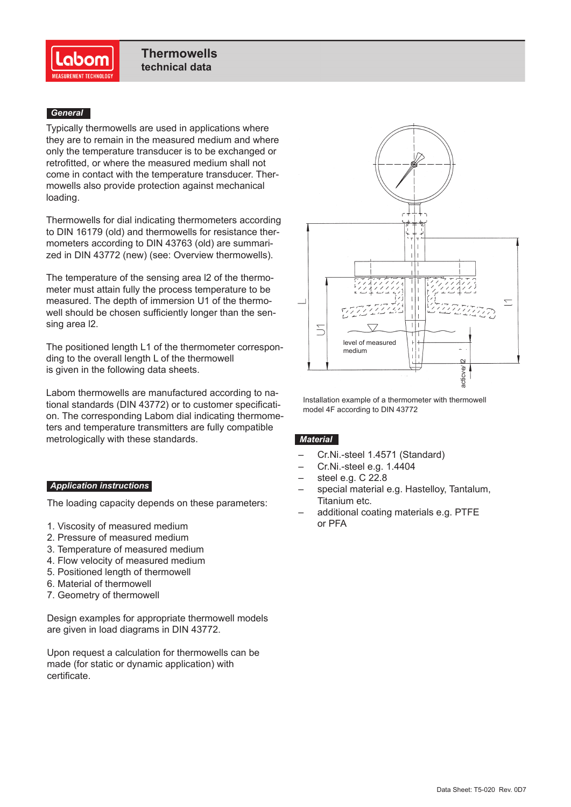

## *General*

Typically thermowells are used in applications where they are to remain in the measured medium and where only the temperature transducer is to be exchanged or retrofitted, or where the measured medium shall not come in contact with the temperature transducer. Thermowells also provide protection against mechanical loading.

Thermowells for dial indicating thermometers according to DIN 16179 (old) and thermowells for resistance thermometers according to DIN 43763 (old) are summarized in DIN 43772 (new) (see: Overview thermowells).

The temperature of the sensing area l2 of the thermometer must attain fully the process temperature to be measured. The depth of immersion U1 of the thermowell should be chosen sufficiently longer than the sensing area l2.

The positioned length L1 of the thermometer corresponding to the overall length L of the thermowell is given in the following data sheets.

Labom thermowells are manufactured according to national standards (DIN 43772) or to customer specification. The corresponding Labom dial indicating thermometers and temperature transmitters are fully compatible metrologically with these standards.

## *Application instructions*

The loading capacity depends on these parameters:

- 1. Viscosity of measured medium
- 2. Pressure of measured medium
- 3. Temperature of measured medium
- 4. Flow velocity of measured medium
- 5. Positioned length of thermowell
- 6. Material of thermowell
- 7. Geometry of thermowell

Design examples for appropriate thermowell models are given in load diagrams in DIN 43772.

Upon request a calculation for thermowells can be made (for static or dynamic application) with certificate.



Installation example of a thermometer with thermowell model 4F according to DIN 43772

## *Material*

- Cr.Ni.-steel 1.4571 (Standard)
- Cr.Ni.-steel e.g. 1.4404
- steel e.g. C 22.8
- special material e.g. Hastelloy, Tantalum, Titanium etc.
- additional coating materials e.g. PTFE or PFA